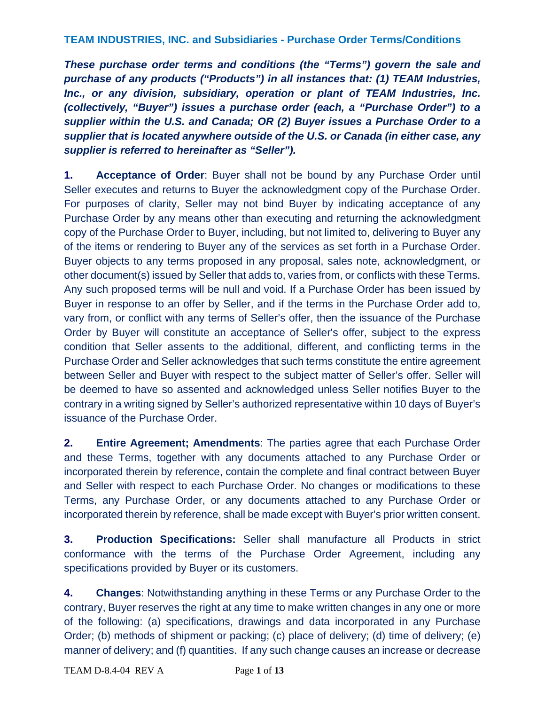*These purchase order terms and conditions (the "Terms") govern the sale and purchase of any products ("Products") in all instances that: (1) TEAM Industries, Inc., or any division, subsidiary, operation or plant of TEAM Industries, Inc. (collectively, "Buyer") issues a purchase order (each, a "Purchase Order") to a supplier within the U.S. and Canada; OR (2) Buyer issues a Purchase Order to a supplier that is located anywhere outside of the U.S. or Canada (in either case, any supplier is referred to hereinafter as "Seller").* 

**1. Acceptance of Order**: Buyer shall not be bound by any Purchase Order until Seller executes and returns to Buyer the acknowledgment copy of the Purchase Order. For purposes of clarity, Seller may not bind Buyer by indicating acceptance of any Purchase Order by any means other than executing and returning the acknowledgment copy of the Purchase Order to Buyer, including, but not limited to, delivering to Buyer any of the items or rendering to Buyer any of the services as set forth in a Purchase Order. Buyer objects to any terms proposed in any proposal, sales note, acknowledgment, or other document(s) issued by Seller that adds to, varies from, or conflicts with these Terms. Any such proposed terms will be null and void. If a Purchase Order has been issued by Buyer in response to an offer by Seller, and if the terms in the Purchase Order add to, vary from, or conflict with any terms of Seller's offer, then the issuance of the Purchase Order by Buyer will constitute an acceptance of Seller's offer, subject to the express condition that Seller assents to the additional, different, and conflicting terms in the Purchase Order and Seller acknowledges that such terms constitute the entire agreement between Seller and Buyer with respect to the subject matter of Seller's offer. Seller will be deemed to have so assented and acknowledged unless Seller notifies Buyer to the contrary in a writing signed by Seller's authorized representative within 10 days of Buyer's issuance of the Purchase Order.

**2. Entire Agreement; Amendments**: The parties agree that each Purchase Order and these Terms, together with any documents attached to any Purchase Order or incorporated therein by reference, contain the complete and final contract between Buyer and Seller with respect to each Purchase Order. No changes or modifications to these Terms, any Purchase Order, or any documents attached to any Purchase Order or incorporated therein by reference, shall be made except with Buyer's prior written consent.

**3. Production Specifications:** Seller shall manufacture all Products in strict conformance with the terms of the Purchase Order Agreement, including any specifications provided by Buyer or its customers.

**4. Changes**: Notwithstanding anything in these Terms or any Purchase Order to the contrary, Buyer reserves the right at any time to make written changes in any one or more of the following: (a) specifications, drawings and data incorporated in any Purchase Order; (b) methods of shipment or packing; (c) place of delivery; (d) time of delivery; (e) manner of delivery; and (f) quantities. If any such change causes an increase or decrease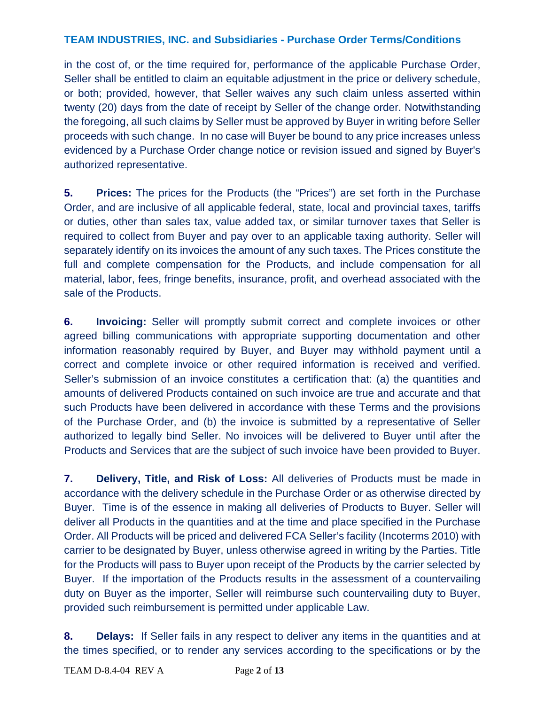in the cost of, or the time required for, performance of the applicable Purchase Order, Seller shall be entitled to claim an equitable adjustment in the price or delivery schedule, or both; provided, however, that Seller waives any such claim unless asserted within twenty (20) days from the date of receipt by Seller of the change order. Notwithstanding the foregoing, all such claims by Seller must be approved by Buyer in writing before Seller proceeds with such change. In no case will Buyer be bound to any price increases unless evidenced by a Purchase Order change notice or revision issued and signed by Buyer's authorized representative.

**5. Prices:** The prices for the Products (the "Prices") are set forth in the Purchase Order, and are inclusive of all applicable federal, state, local and provincial taxes, tariffs or duties, other than sales tax, value added tax, or similar turnover taxes that Seller is required to collect from Buyer and pay over to an applicable taxing authority. Seller will separately identify on its invoices the amount of any such taxes. The Prices constitute the full and complete compensation for the Products, and include compensation for all material, labor, fees, fringe benefits, insurance, profit, and overhead associated with the sale of the Products.

**6. Invoicing:** Seller will promptly submit correct and complete invoices or other agreed billing communications with appropriate supporting documentation and other information reasonably required by Buyer, and Buyer may withhold payment until a correct and complete invoice or other required information is received and verified. Seller's submission of an invoice constitutes a certification that: (a) the quantities and amounts of delivered Products contained on such invoice are true and accurate and that such Products have been delivered in accordance with these Terms and the provisions of the Purchase Order, and (b) the invoice is submitted by a representative of Seller authorized to legally bind Seller. No invoices will be delivered to Buyer until after the Products and Services that are the subject of such invoice have been provided to Buyer.

**7. Delivery, Title, and Risk of Loss:** All deliveries of Products must be made in accordance with the delivery schedule in the Purchase Order or as otherwise directed by Buyer. Time is of the essence in making all deliveries of Products to Buyer. Seller will deliver all Products in the quantities and at the time and place specified in the Purchase Order. All Products will be priced and delivered FCA Seller's facility (Incoterms 2010) with carrier to be designated by Buyer, unless otherwise agreed in writing by the Parties. Title for the Products will pass to Buyer upon receipt of the Products by the carrier selected by Buyer. If the importation of the Products results in the assessment of a countervailing duty on Buyer as the importer, Seller will reimburse such countervailing duty to Buyer, provided such reimbursement is permitted under applicable Law.

**8. Delays:** If Seller fails in any respect to deliver any items in the quantities and at the times specified, or to render any services according to the specifications or by the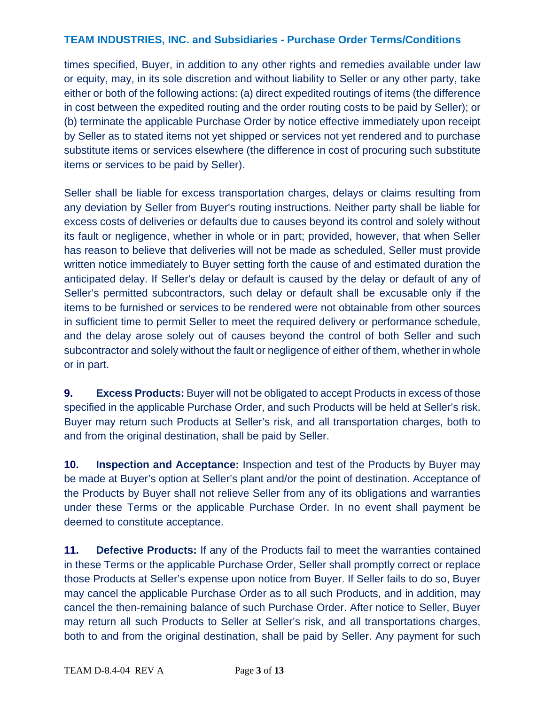times specified, Buyer, in addition to any other rights and remedies available under law or equity, may, in its sole discretion and without liability to Seller or any other party, take either or both of the following actions: (a) direct expedited routings of items (the difference in cost between the expedited routing and the order routing costs to be paid by Seller); or (b) terminate the applicable Purchase Order by notice effective immediately upon receipt by Seller as to stated items not yet shipped or services not yet rendered and to purchase substitute items or services elsewhere (the difference in cost of procuring such substitute items or services to be paid by Seller).

Seller shall be liable for excess transportation charges, delays or claims resulting from any deviation by Seller from Buyer's routing instructions. Neither party shall be liable for excess costs of deliveries or defaults due to causes beyond its control and solely without its fault or negligence, whether in whole or in part; provided, however, that when Seller has reason to believe that deliveries will not be made as scheduled, Seller must provide written notice immediately to Buyer setting forth the cause of and estimated duration the anticipated delay. If Seller's delay or default is caused by the delay or default of any of Seller's permitted subcontractors, such delay or default shall be excusable only if the items to be furnished or services to be rendered were not obtainable from other sources in sufficient time to permit Seller to meet the required delivery or performance schedule, and the delay arose solely out of causes beyond the control of both Seller and such subcontractor and solely without the fault or negligence of either of them, whether in whole or in part.

**9. Excess Products:** Buyer will not be obligated to accept Products in excess of those specified in the applicable Purchase Order, and such Products will be held at Seller's risk. Buyer may return such Products at Seller's risk, and all transportation charges, both to and from the original destination, shall be paid by Seller.

**10. Inspection and Acceptance:** Inspection and test of the Products by Buyer may be made at Buyer's option at Seller's plant and/or the point of destination. Acceptance of the Products by Buyer shall not relieve Seller from any of its obligations and warranties under these Terms or the applicable Purchase Order. In no event shall payment be deemed to constitute acceptance.

**11. Defective Products:** If any of the Products fail to meet the warranties contained in these Terms or the applicable Purchase Order, Seller shall promptly correct or replace those Products at Seller's expense upon notice from Buyer. If Seller fails to do so, Buyer may cancel the applicable Purchase Order as to all such Products, and in addition, may cancel the then-remaining balance of such Purchase Order. After notice to Seller, Buyer may return all such Products to Seller at Seller's risk, and all transportations charges, both to and from the original destination, shall be paid by Seller. Any payment for such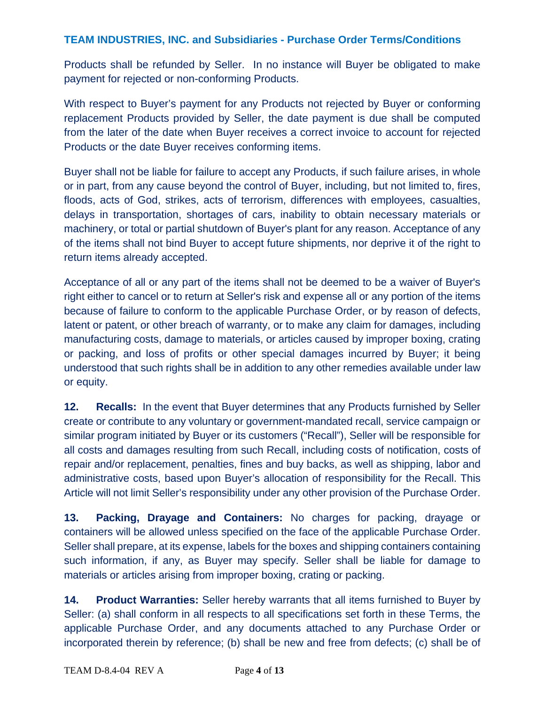Products shall be refunded by Seller. In no instance will Buyer be obligated to make payment for rejected or non-conforming Products.

With respect to Buyer's payment for any Products not rejected by Buyer or conforming replacement Products provided by Seller, the date payment is due shall be computed from the later of the date when Buyer receives a correct invoice to account for rejected Products or the date Buyer receives conforming items.

Buyer shall not be liable for failure to accept any Products, if such failure arises, in whole or in part, from any cause beyond the control of Buyer, including, but not limited to, fires, floods, acts of God, strikes, acts of terrorism, differences with employees, casualties, delays in transportation, shortages of cars, inability to obtain necessary materials or machinery, or total or partial shutdown of Buyer's plant for any reason. Acceptance of any of the items shall not bind Buyer to accept future shipments, nor deprive it of the right to return items already accepted.

Acceptance of all or any part of the items shall not be deemed to be a waiver of Buyer's right either to cancel or to return at Seller's risk and expense all or any portion of the items because of failure to conform to the applicable Purchase Order, or by reason of defects, latent or patent, or other breach of warranty, or to make any claim for damages, including manufacturing costs, damage to materials, or articles caused by improper boxing, crating or packing, and loss of profits or other special damages incurred by Buyer; it being understood that such rights shall be in addition to any other remedies available under law or equity.

**12. Recalls:** In the event that Buyer determines that any Products furnished by Seller create or contribute to any voluntary or government-mandated recall, service campaign or similar program initiated by Buyer or its customers ("Recall"), Seller will be responsible for all costs and damages resulting from such Recall, including costs of notification, costs of repair and/or replacement, penalties, fines and buy backs, as well as shipping, labor and administrative costs, based upon Buyer's allocation of responsibility for the Recall. This Article will not limit Seller's responsibility under any other provision of the Purchase Order.

**13. Packing, Drayage and Containers:** No charges for packing, drayage or containers will be allowed unless specified on the face of the applicable Purchase Order. Seller shall prepare, at its expense, labels for the boxes and shipping containers containing such information, if any, as Buyer may specify. Seller shall be liable for damage to materials or articles arising from improper boxing, crating or packing.

**14. Product Warranties:** Seller hereby warrants that all items furnished to Buyer by Seller: (a) shall conform in all respects to all specifications set forth in these Terms, the applicable Purchase Order, and any documents attached to any Purchase Order or incorporated therein by reference; (b) shall be new and free from defects; (c) shall be of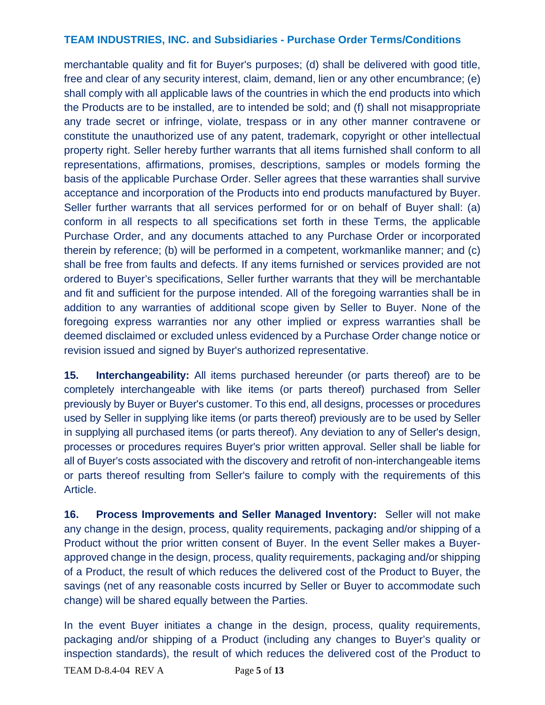merchantable quality and fit for Buyer's purposes; (d) shall be delivered with good title, free and clear of any security interest, claim, demand, lien or any other encumbrance; (e) shall comply with all applicable laws of the countries in which the end products into which the Products are to be installed, are to intended be sold; and (f) shall not misappropriate any trade secret or infringe, violate, trespass or in any other manner contravene or constitute the unauthorized use of any patent, trademark, copyright or other intellectual property right. Seller hereby further warrants that all items furnished shall conform to all representations, affirmations, promises, descriptions, samples or models forming the basis of the applicable Purchase Order. Seller agrees that these warranties shall survive acceptance and incorporation of the Products into end products manufactured by Buyer. Seller further warrants that all services performed for or on behalf of Buyer shall: (a) conform in all respects to all specifications set forth in these Terms, the applicable Purchase Order, and any documents attached to any Purchase Order or incorporated therein by reference; (b) will be performed in a competent, workmanlike manner; and (c) shall be free from faults and defects. If any items furnished or services provided are not ordered to Buyer's specifications, Seller further warrants that they will be merchantable and fit and sufficient for the purpose intended. All of the foregoing warranties shall be in addition to any warranties of additional scope given by Seller to Buyer. None of the foregoing express warranties nor any other implied or express warranties shall be deemed disclaimed or excluded unless evidenced by a Purchase Order change notice or revision issued and signed by Buyer's authorized representative.

**15. Interchangeability:** All items purchased hereunder (or parts thereof) are to be completely interchangeable with like items (or parts thereof) purchased from Seller previously by Buyer or Buyer's customer. To this end, all designs, processes or procedures used by Seller in supplying like items (or parts thereof) previously are to be used by Seller in supplying all purchased items (or parts thereof). Any deviation to any of Seller's design, processes or procedures requires Buyer's prior written approval. Seller shall be liable for all of Buyer's costs associated with the discovery and retrofit of non-interchangeable items or parts thereof resulting from Seller's failure to comply with the requirements of this Article.

**16. Process Improvements and Seller Managed Inventory:** Seller will not make any change in the design, process, quality requirements, packaging and/or shipping of a Product without the prior written consent of Buyer. In the event Seller makes a Buyerapproved change in the design, process, quality requirements, packaging and/or shipping of a Product, the result of which reduces the delivered cost of the Product to Buyer, the savings (net of any reasonable costs incurred by Seller or Buyer to accommodate such change) will be shared equally between the Parties.

In the event Buyer initiates a change in the design, process, quality requirements, packaging and/or shipping of a Product (including any changes to Buyer's quality or inspection standards), the result of which reduces the delivered cost of the Product to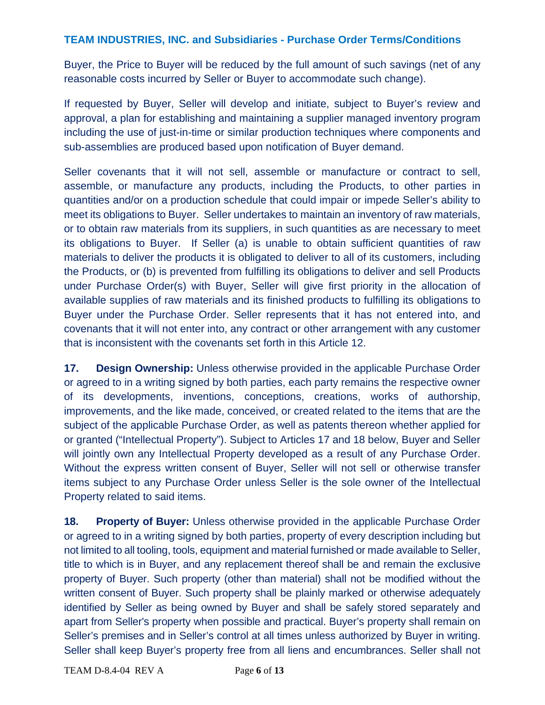Buyer, the Price to Buyer will be reduced by the full amount of such savings (net of any reasonable costs incurred by Seller or Buyer to accommodate such change).

If requested by Buyer, Seller will develop and initiate, subject to Buyer's review and approval, a plan for establishing and maintaining a supplier managed inventory program including the use of just-in-time or similar production techniques where components and sub-assemblies are produced based upon notification of Buyer demand.

Seller covenants that it will not sell, assemble or manufacture or contract to sell, assemble, or manufacture any products, including the Products, to other parties in quantities and/or on a production schedule that could impair or impede Seller's ability to meet its obligations to Buyer. Seller undertakes to maintain an inventory of raw materials, or to obtain raw materials from its suppliers, in such quantities as are necessary to meet its obligations to Buyer. If Seller (a) is unable to obtain sufficient quantities of raw materials to deliver the products it is obligated to deliver to all of its customers, including the Products, or (b) is prevented from fulfilling its obligations to deliver and sell Products under Purchase Order(s) with Buyer, Seller will give first priority in the allocation of available supplies of raw materials and its finished products to fulfilling its obligations to Buyer under the Purchase Order. Seller represents that it has not entered into, and covenants that it will not enter into, any contract or other arrangement with any customer that is inconsistent with the covenants set forth in this Article 12.

**17. Design Ownership:** Unless otherwise provided in the applicable Purchase Order or agreed to in a writing signed by both parties, each party remains the respective owner of its developments, inventions, conceptions, creations, works of authorship, improvements, and the like made, conceived, or created related to the items that are the subject of the applicable Purchase Order, as well as patents thereon whether applied for or granted ("Intellectual Property"). Subject to Articles 17 and 18 below, Buyer and Seller will jointly own any Intellectual Property developed as a result of any Purchase Order. Without the express written consent of Buyer, Seller will not sell or otherwise transfer items subject to any Purchase Order unless Seller is the sole owner of the Intellectual Property related to said items.

**18. Property of Buyer:** Unless otherwise provided in the applicable Purchase Order or agreed to in a writing signed by both parties, property of every description including but not limited to all tooling, tools, equipment and material furnished or made available to Seller, title to which is in Buyer, and any replacement thereof shall be and remain the exclusive property of Buyer. Such property (other than material) shall not be modified without the written consent of Buyer. Such property shall be plainly marked or otherwise adequately identified by Seller as being owned by Buyer and shall be safely stored separately and apart from Seller's property when possible and practical. Buyer's property shall remain on Seller's premises and in Seller's control at all times unless authorized by Buyer in writing. Seller shall keep Buyer's property free from all liens and encumbrances. Seller shall not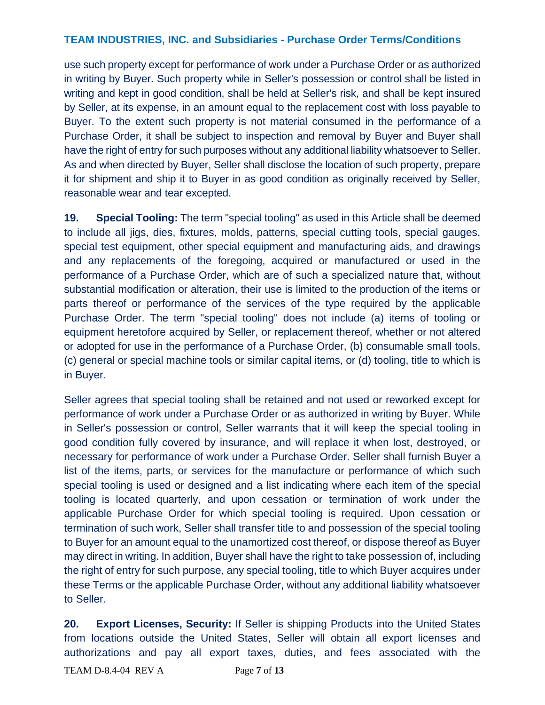use such property except for performance of work under a Purchase Order or as authorized in writing by Buyer. Such property while in Seller's possession or control shall be listed in writing and kept in good condition, shall be held at Seller's risk, and shall be kept insured by Seller, at its expense, in an amount equal to the replacement cost with loss payable to Buyer. To the extent such property is not material consumed in the performance of a Purchase Order, it shall be subject to inspection and removal by Buyer and Buyer shall have the right of entry for such purposes without any additional liability whatsoever to Seller. As and when directed by Buyer, Seller shall disclose the location of such property, prepare it for shipment and ship it to Buyer in as good condition as originally received by Seller, reasonable wear and tear excepted.

**19. Special Tooling:** The term "special tooling" as used in this Article shall be deemed to include all jigs, dies, fixtures, molds, patterns, special cutting tools, special gauges, special test equipment, other special equipment and manufacturing aids, and drawings and any replacements of the foregoing, acquired or manufactured or used in the performance of a Purchase Order, which are of such a specialized nature that, without substantial modification or alteration, their use is limited to the production of the items or parts thereof or performance of the services of the type required by the applicable Purchase Order. The term "special tooling" does not include (a) items of tooling or equipment heretofore acquired by Seller, or replacement thereof, whether or not altered or adopted for use in the performance of a Purchase Order, (b) consumable small tools, (c) general or special machine tools or similar capital items, or (d) tooling, title to which is in Buyer.

Seller agrees that special tooling shall be retained and not used or reworked except for performance of work under a Purchase Order or as authorized in writing by Buyer. While in Seller's possession or control, Seller warrants that it will keep the special tooling in good condition fully covered by insurance, and will replace it when lost, destroyed, or necessary for performance of work under a Purchase Order. Seller shall furnish Buyer a list of the items, parts, or services for the manufacture or performance of which such special tooling is used or designed and a list indicating where each item of the special tooling is located quarterly, and upon cessation or termination of work under the applicable Purchase Order for which special tooling is required. Upon cessation or termination of such work, Seller shall transfer title to and possession of the special tooling to Buyer for an amount equal to the unamortized cost thereof, or dispose thereof as Buyer may direct in writing. In addition, Buyer shall have the right to take possession of, including the right of entry for such purpose, any special tooling, title to which Buyer acquires under these Terms or the applicable Purchase Order, without any additional liability whatsoever to Seller.

**20. Export Licenses, Security:** If Seller is shipping Products into the United States from locations outside the United States, Seller will obtain all export licenses and authorizations and pay all export taxes, duties, and fees associated with the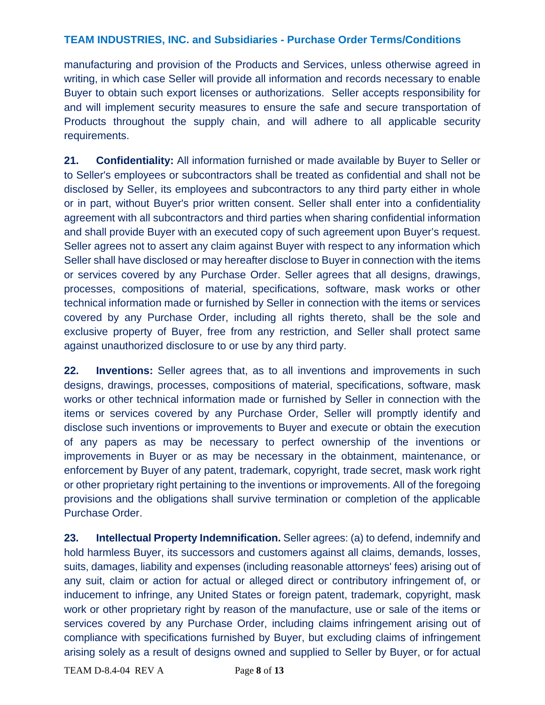manufacturing and provision of the Products and Services, unless otherwise agreed in writing, in which case Seller will provide all information and records necessary to enable Buyer to obtain such export licenses or authorizations. Seller accepts responsibility for and will implement security measures to ensure the safe and secure transportation of Products throughout the supply chain, and will adhere to all applicable security requirements.

**21. Confidentiality:** All information furnished or made available by Buyer to Seller or to Seller's employees or subcontractors shall be treated as confidential and shall not be disclosed by Seller, its employees and subcontractors to any third party either in whole or in part, without Buyer's prior written consent. Seller shall enter into a confidentiality agreement with all subcontractors and third parties when sharing confidential information and shall provide Buyer with an executed copy of such agreement upon Buyer's request. Seller agrees not to assert any claim against Buyer with respect to any information which Seller shall have disclosed or may hereafter disclose to Buyer in connection with the items or services covered by any Purchase Order. Seller agrees that all designs, drawings, processes, compositions of material, specifications, software, mask works or other technical information made or furnished by Seller in connection with the items or services covered by any Purchase Order, including all rights thereto, shall be the sole and exclusive property of Buyer, free from any restriction, and Seller shall protect same against unauthorized disclosure to or use by any third party.

**22. Inventions:** Seller agrees that, as to all inventions and improvements in such designs, drawings, processes, compositions of material, specifications, software, mask works or other technical information made or furnished by Seller in connection with the items or services covered by any Purchase Order, Seller will promptly identify and disclose such inventions or improvements to Buyer and execute or obtain the execution of any papers as may be necessary to perfect ownership of the inventions or improvements in Buyer or as may be necessary in the obtainment, maintenance, or enforcement by Buyer of any patent, trademark, copyright, trade secret, mask work right or other proprietary right pertaining to the inventions or improvements. All of the foregoing provisions and the obligations shall survive termination or completion of the applicable Purchase Order.

**23. Intellectual Property Indemnification.** Seller agrees: (a) to defend, indemnify and hold harmless Buyer, its successors and customers against all claims, demands, losses, suits, damages, liability and expenses (including reasonable attorneys' fees) arising out of any suit, claim or action for actual or alleged direct or contributory infringement of, or inducement to infringe, any United States or foreign patent, trademark, copyright, mask work or other proprietary right by reason of the manufacture, use or sale of the items or services covered by any Purchase Order, including claims infringement arising out of compliance with specifications furnished by Buyer, but excluding claims of infringement arising solely as a result of designs owned and supplied to Seller by Buyer, or for actual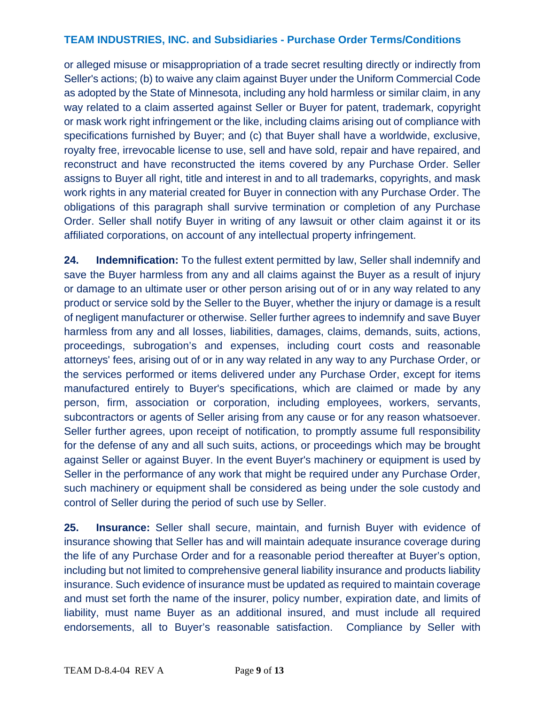or alleged misuse or misappropriation of a trade secret resulting directly or indirectly from Seller's actions; (b) to waive any claim against Buyer under the Uniform Commercial Code as adopted by the State of Minnesota, including any hold harmless or similar claim, in any way related to a claim asserted against Seller or Buyer for patent, trademark, copyright or mask work right infringement or the like, including claims arising out of compliance with specifications furnished by Buyer; and (c) that Buyer shall have a worldwide, exclusive, royalty free, irrevocable license to use, sell and have sold, repair and have repaired, and reconstruct and have reconstructed the items covered by any Purchase Order. Seller assigns to Buyer all right, title and interest in and to all trademarks, copyrights, and mask work rights in any material created for Buyer in connection with any Purchase Order. The obligations of this paragraph shall survive termination or completion of any Purchase Order. Seller shall notify Buyer in writing of any lawsuit or other claim against it or its affiliated corporations, on account of any intellectual property infringement.

**24. Indemnification:** To the fullest extent permitted by law, Seller shall indemnify and save the Buyer harmless from any and all claims against the Buyer as a result of injury or damage to an ultimate user or other person arising out of or in any way related to any product or service sold by the Seller to the Buyer, whether the injury or damage is a result of negligent manufacturer or otherwise. Seller further agrees to indemnify and save Buyer harmless from any and all losses, liabilities, damages, claims, demands, suits, actions, proceedings, subrogation's and expenses, including court costs and reasonable attorneys' fees, arising out of or in any way related in any way to any Purchase Order, or the services performed or items delivered under any Purchase Order, except for items manufactured entirely to Buyer's specifications, which are claimed or made by any person, firm, association or corporation, including employees, workers, servants, subcontractors or agents of Seller arising from any cause or for any reason whatsoever. Seller further agrees, upon receipt of notification, to promptly assume full responsibility for the defense of any and all such suits, actions, or proceedings which may be brought against Seller or against Buyer. In the event Buyer's machinery or equipment is used by Seller in the performance of any work that might be required under any Purchase Order, such machinery or equipment shall be considered as being under the sole custody and control of Seller during the period of such use by Seller.

**25. Insurance:** Seller shall secure, maintain, and furnish Buyer with evidence of insurance showing that Seller has and will maintain adequate insurance coverage during the life of any Purchase Order and for a reasonable period thereafter at Buyer's option, including but not limited to comprehensive general liability insurance and products liability insurance. Such evidence of insurance must be updated as required to maintain coverage and must set forth the name of the insurer, policy number, expiration date, and limits of liability, must name Buyer as an additional insured, and must include all required endorsements, all to Buyer's reasonable satisfaction. Compliance by Seller with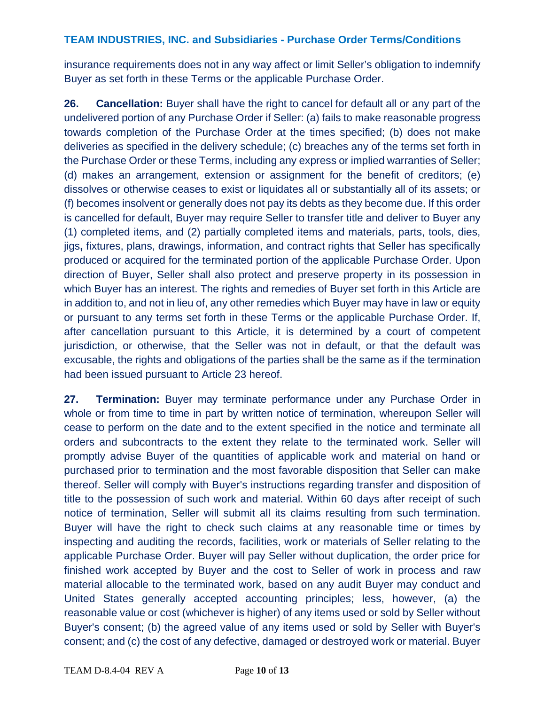insurance requirements does not in any way affect or limit Seller's obligation to indemnify Buyer as set forth in these Terms or the applicable Purchase Order.

**26. Cancellation:** Buyer shall have the right to cancel for default all or any part of the undelivered portion of any Purchase Order if Seller: (a) fails to make reasonable progress towards completion of the Purchase Order at the times specified; (b) does not make deliveries as specified in the delivery schedule; (c) breaches any of the terms set forth in the Purchase Order or these Terms, including any express or implied warranties of Seller; (d) makes an arrangement, extension or assignment for the benefit of creditors; (e) dissolves or otherwise ceases to exist or liquidates all or substantially all of its assets; or (f) becomes insolvent or generally does not pay its debts as they become due. If this order is cancelled for default, Buyer may require Seller to transfer title and deliver to Buyer any (1) completed items, and (2) partially completed items and materials, parts, tools, dies, jigs**,** fixtures, plans, drawings, information, and contract rights that Seller has specifically produced or acquired for the terminated portion of the applicable Purchase Order. Upon direction of Buyer, Seller shall also protect and preserve property in its possession in which Buyer has an interest. The rights and remedies of Buyer set forth in this Article are in addition to, and not in lieu of, any other remedies which Buyer may have in law or equity or pursuant to any terms set forth in these Terms or the applicable Purchase Order. If, after cancellation pursuant to this Article, it is determined by a court of competent jurisdiction, or otherwise, that the Seller was not in default, or that the default was excusable, the rights and obligations of the parties shall be the same as if the termination had been issued pursuant to Article 23 hereof.

**27. Termination:** Buyer may terminate performance under any Purchase Order in whole or from time to time in part by written notice of termination, whereupon Seller will cease to perform on the date and to the extent specified in the notice and terminate all orders and subcontracts to the extent they relate to the terminated work. Seller will promptly advise Buyer of the quantities of applicable work and material on hand or purchased prior to termination and the most favorable disposition that Seller can make thereof. Seller will comply with Buyer's instructions regarding transfer and disposition of title to the possession of such work and material. Within 60 days after receipt of such notice of termination, Seller will submit all its claims resulting from such termination. Buyer will have the right to check such claims at any reasonable time or times by inspecting and auditing the records, facilities, work or materials of Seller relating to the applicable Purchase Order. Buyer will pay Seller without duplication, the order price for finished work accepted by Buyer and the cost to Seller of work in process and raw material allocable to the terminated work, based on any audit Buyer may conduct and United States generally accepted accounting principles; less, however, (a) the reasonable value or cost (whichever is higher) of any items used or sold by Seller without Buyer's consent; (b) the agreed value of any items used or sold by Seller with Buyer's consent; and (c) the cost of any defective, damaged or destroyed work or material. Buyer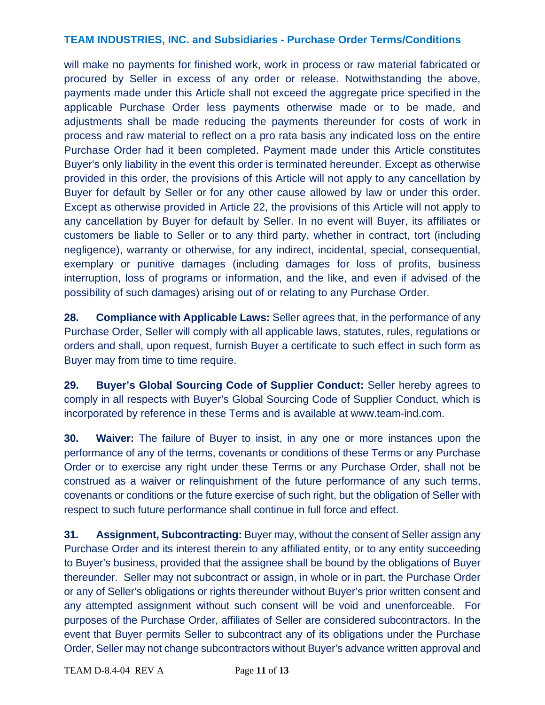will make no payments for finished work, work in process or raw material fabricated or procured by Seller in excess of any order or release. Notwithstanding the above, payments made under this Article shall not exceed the aggregate price specified in the applicable Purchase Order less payments otherwise made or to be made, and adjustments shall be made reducing the payments thereunder for costs of work in process and raw material to reflect on a pro rata basis any indicated loss on the entire Purchase Order had it been completed. Payment made under this Article constitutes Buyer's only liability in the event this order is terminated hereunder. Except as otherwise provided in this order, the provisions of this Article will not apply to any cancellation by Buyer for default by Seller or for any other cause allowed by law or under this order. Except as otherwise provided in Article 22, the provisions of this Article will not apply to any cancellation by Buyer for default by Seller. In no event will Buyer, its affiliates or customers be liable to Seller or to any third party, whether in contract, tort (including negligence), warranty or otherwise, for any indirect, incidental, special, consequential, exemplary or punitive damages (including damages for loss of profits, business interruption, loss of programs or information, and the like, and even if advised of the possibility of such damages) arising out of or relating to any Purchase Order.

**28. Compliance with Applicable Laws:** Seller agrees that, in the performance of any Purchase Order, Seller will comply with all applicable laws, statutes, rules, regulations or orders and shall, upon request, furnish Buyer a certificate to such effect in such form as Buyer may from time to time require.

**29. Buyer's Global Sourcing Code of Supplier Conduct:** Seller hereby agrees to comply in all respects with Buyer's Global Sourcing Code of Supplier Conduct, which is incorporated by reference in these Terms and is available at www.team-ind.com.

**30. Waiver:** The failure of Buyer to insist, in any one or more instances upon the performance of any of the terms, covenants or conditions of these Terms or any Purchase Order or to exercise any right under these Terms or any Purchase Order, shall not be construed as a waiver or relinquishment of the future performance of any such terms, covenants or conditions or the future exercise of such right, but the obligation of Seller with respect to such future performance shall continue in full force and effect.

**31. Assignment, Subcontracting:** Buyer may, without the consent of Seller assign any Purchase Order and its interest therein to any affiliated entity, or to any entity succeeding to Buyer's business, provided that the assignee shall be bound by the obligations of Buyer thereunder. Seller may not subcontract or assign, in whole or in part, the Purchase Order or any of Seller's obligations or rights thereunder without Buyer's prior written consent and any attempted assignment without such consent will be void and unenforceable. For purposes of the Purchase Order, affiliates of Seller are considered subcontractors. In the event that Buyer permits Seller to subcontract any of its obligations under the Purchase Order, Seller may not change subcontractors without Buyer's advance written approval and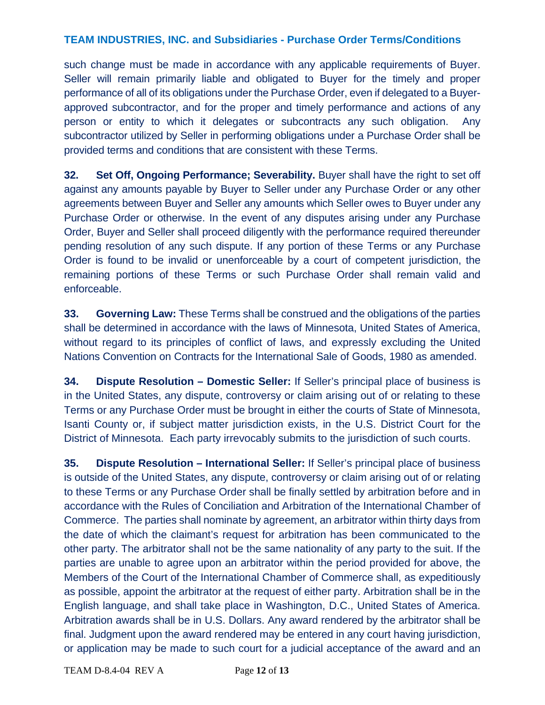such change must be made in accordance with any applicable requirements of Buyer. Seller will remain primarily liable and obligated to Buyer for the timely and proper performance of all of its obligations under the Purchase Order, even if delegated to a Buyerapproved subcontractor, and for the proper and timely performance and actions of any person or entity to which it delegates or subcontracts any such obligation. Any subcontractor utilized by Seller in performing obligations under a Purchase Order shall be provided terms and conditions that are consistent with these Terms.

**32.** Set Off, Ongoing Performance; Severability. Buyer shall have the right to set off against any amounts payable by Buyer to Seller under any Purchase Order or any other agreements between Buyer and Seller any amounts which Seller owes to Buyer under any Purchase Order or otherwise. In the event of any disputes arising under any Purchase Order, Buyer and Seller shall proceed diligently with the performance required thereunder pending resolution of any such dispute. If any portion of these Terms or any Purchase Order is found to be invalid or unenforceable by a court of competent jurisdiction, the remaining portions of these Terms or such Purchase Order shall remain valid and enforceable.

**33. Governing Law:** These Terms shall be construed and the obligations of the parties shall be determined in accordance with the laws of Minnesota, United States of America, without regard to its principles of conflict of laws, and expressly excluding the United Nations Convention on Contracts for the International Sale of Goods, 1980 as amended.

**34. Dispute Resolution – Domestic Seller:** If Seller's principal place of business is in the United States, any dispute, controversy or claim arising out of or relating to these Terms or any Purchase Order must be brought in either the courts of State of Minnesota, Isanti County or, if subject matter jurisdiction exists, in the U.S. District Court for the District of Minnesota. Each party irrevocably submits to the jurisdiction of such courts.

**35. Dispute Resolution – International Seller:** If Seller's principal place of business is outside of the United States, any dispute, controversy or claim arising out of or relating to these Terms or any Purchase Order shall be finally settled by arbitration before and in accordance with the Rules of Conciliation and Arbitration of the International Chamber of Commerce. The parties shall nominate by agreement, an arbitrator within thirty days from the date of which the claimant's request for arbitration has been communicated to the other party. The arbitrator shall not be the same nationality of any party to the suit. If the parties are unable to agree upon an arbitrator within the period provided for above, the Members of the Court of the International Chamber of Commerce shall, as expeditiously as possible, appoint the arbitrator at the request of either party. Arbitration shall be in the English language, and shall take place in Washington, D.C., United States of America. Arbitration awards shall be in U.S. Dollars. Any award rendered by the arbitrator shall be final. Judgment upon the award rendered may be entered in any court having jurisdiction, or application may be made to such court for a judicial acceptance of the award and an